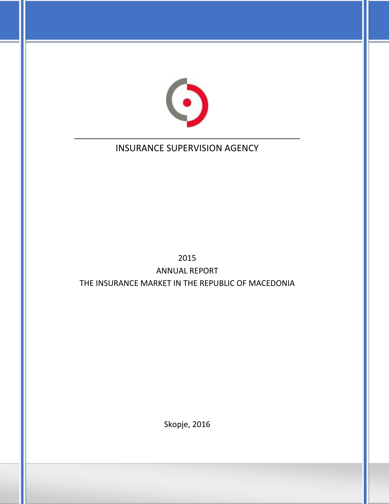

# INSURANCE SUPERVISION AGENCY

# 2015 ANNUAL REPORT THE INSURANCE MARKET IN THE REPUBLIC OF MACEDONIA

Skopje, 2016

1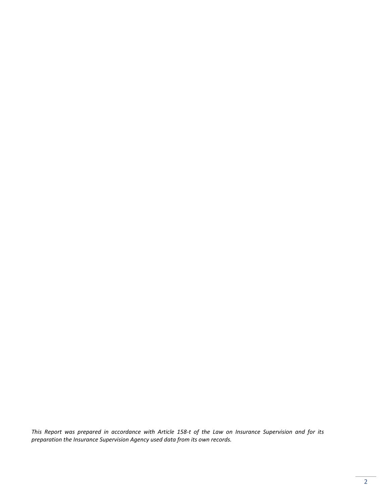*This Report was prepared in accordance with Article 158-t of the Law on Insurance Supervision and for its preparation the Insurance Supervision Agency used data from its own records.*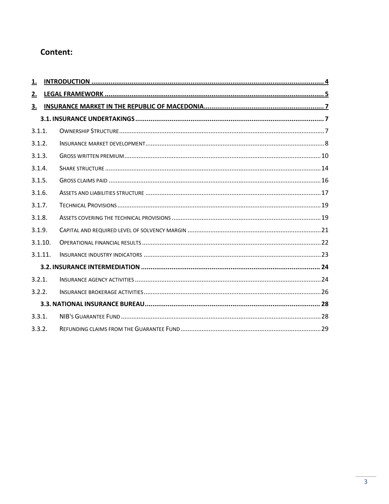## Content:

| <u>1.</u> |  |
|-----------|--|
| 2.        |  |
| <u>3.</u> |  |
|           |  |
| 3.1.1.    |  |
| 3.1.2.    |  |
| 3.1.3.    |  |
| 3.1.4.    |  |
| 3.1.5.    |  |
| 3.1.6.    |  |
| 3.1.7.    |  |
| 3.1.8.    |  |
| 3.1.9.    |  |
| 3.1.10.   |  |
| 3.1.11.   |  |
|           |  |
| 3.2.1.    |  |
| 3.2.2.    |  |
|           |  |
| 3.3.1.    |  |
| 3.3.2.    |  |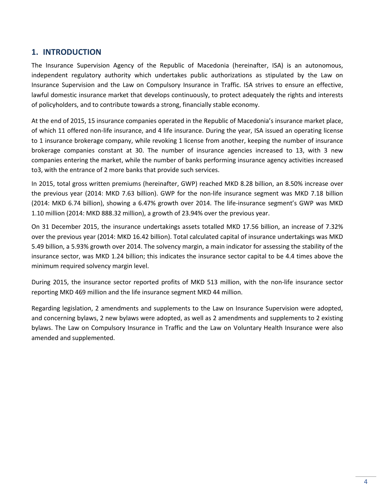## <span id="page-3-0"></span>**1. INTRODUCTION**

The Insurance Supervision Agency of the Republic of Macedonia (hereinafter, ISA) is an autonomous, independent regulatory authority which undertakes public authorizations as stipulated by the Law on Insurance Supervision and the Law on Compulsory Insurance in Traffic. ISA strives to ensure an effective, lawful domestic insurance market that develops continuously, to protect adequately the rights and interests of policyholders, and to contribute towards a strong, financially stable economy.

At the end of 2015, 15 insurance companies operated in the Republic of Macedonia's insurance market place, of which 11 offered non-life insurance, and 4 life insurance. During the year, ISA issued an operating license to 1 insurance brokerage company, while revoking 1 license from another, keeping the number of insurance brokerage companies constant at 30. The number of insurance agencies increased to 13, with 3 new companies entering the market, while the number of banks performing insurance agency activities increased to3, with the entrance of 2 more banks that provide such services.

In 2015, total gross written premiums (hereinafter, GWP) reached MKD 8.28 billion, an 8.50% increase over the previous year (2014: MKD 7.63 billion). GWP for the non-life insurance segment was MKD 7.18 billion (2014: MKD 6.74 billion), showing a 6.47% growth over 2014. The life-insurance segment's GWP was MKD 1.10 million (2014: MKD 888.32 million), a growth of 23.94% over the previous year.

On 31 December 2015, the insurance undertakings assets totalled MKD 17.56 billion, an increase of 7.32% over the previous year (2014: MKD 16.42 billion). Total calculated capital of insurance undertakings was MKD 5.49 billion, a 5.93% growth over 2014. The solvency margin, a main indicator for assessing the stability of the insurance sector, was MKD 1.24 billion; this indicates the insurance sector capital to be 4.4 times above the minimum required solvency margin level.

During 2015, the insurance sector reported profits of MKD 513 million, with the non-life insurance sector reporting MKD 469 million and the life insurance segment MKD 44 million.

<span id="page-3-1"></span>Regarding legislation, 2 amendments and supplements to the Law on Insurance Supervision were adopted, and concerning bylaws, 2 new bylaws were adopted, as well as 2 amendments and supplements to 2 existing bylaws. The Law on Compulsory Insurance in Traffic and the Law on Voluntary Health Insurance were also amended and supplemented.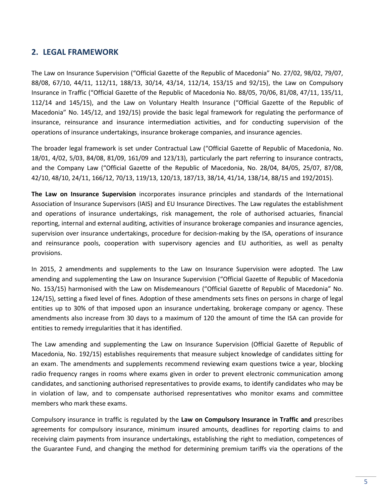## **2. LEGAL FRAMEWORK**

The Law on Insurance Supervision ("Official Gazette of the Republic of Macedonia" No. 27/02, 98/02, 79/07, 88/08, 67/10, 44/11, 112/11, 188/13, 30/14, 43/14, 112/14, 153/15 and 92/15), the Law on Compulsory Insurance in Traffic ("Official Gazette of the Republic of Macedonia No. 88/05, 70/06, 81/08, 47/11, 135/11, 112/14 and 145/15), and the Law on Voluntary Health Insurance ("Official Gazette of the Republic of Macedonia" No. 145/12, and 192/15) provide the basic legal framework for regulating the performance of insurance, reinsurance and insurance intermediation activities, and for conducting supervision of the operations of insurance undertakings, insurance brokerage companies, and insurance agencies.

The broader legal framework is set under Contractual Law ("Official Gazette of Republic of Macedonia, No. 18/01, 4/02, 5/03, 84/08, 81/09, 161/09 and 123/13), particularly the part referring to insurance contracts, and the Company Law ("Official Gazette of the Republic of Macedonia, No. 28/04, 84/05, 25/07, 87/08, 42/10, 48/10, 24/11, 166/12, 70/13, 119/13, 120/13, 187/13, 38/14, 41/14, 138/14, 88/15 and 192/2015).

**The Law on Insurance Supervision** incorporates insurance principles and standards of the International Association of Insurance Supervisors (IAIS) and EU Insurance Directives. The Law regulates the establishment and operations of insurance undertakings, risk management, the role of authorised actuaries, financial reporting, internal and external auditing, activities of insurance brokerage companies and insurance agencies, supervision over insurance undertakings, procedure for decision-making by the ISA, operations of insurance and reinsurance pools, cooperation with supervisory agencies and EU authorities, as well as penalty provisions.

In 2015, 2 amendments and supplements to the Law on Insurance Supervision were adopted. The Law amending and supplementing the Law on Insurance Supervision ("Official Gazette of Republic of Macedonia No. 153/15) harmonised with the Law on Misdemeanours ("Official Gazette of Republic of Macedonia" No. 124/15), setting a fixed level of fines. Adoption of these amendments sets fines on persons in charge of legal entities up to 30% of that imposed upon an insurance undertaking, brokerage company or agency. These amendments also increase from 30 days to a maximum of 120 the amount of time the ISA can provide for entities to remedy irregularities that it has identified.

The Law amending and supplementing the Law on Insurance Supervision (Official Gazette of Republic of Macedonia, No. 192/15) establishes requirements that measure subject knowledge of candidates sitting for an exam. The amendments and supplements recommend reviewing exam questions twice a year, blocking radio frequency ranges in rooms where exams given in order to prevent electronic communication among candidates, and sanctioning authorised representatives to provide exams, to identify candidates who may be in violation of law, and to compensate authorised representatives who monitor exams and committee members who mark these exams.

Compulsory insurance in traffic is regulated by the **Law on Compulsory Insurance in Traffic and** prescribes agreements for compulsory insurance, minimum insured amounts, deadlines for reporting claims to and receiving claim payments from insurance undertakings, establishing the right to mediation, competences of the Guarantee Fund, and changing the method for determining premium tariffs via the operations of the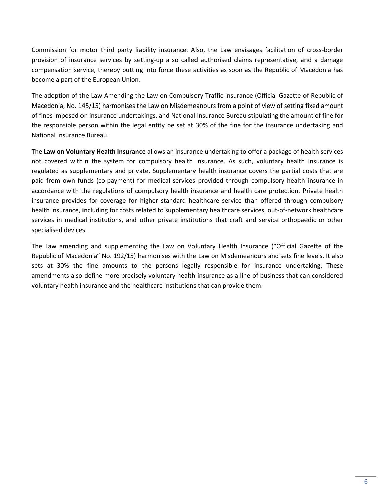Commission for motor third party liability insurance. Also, the Law envisages facilitation of cross-border provision of insurance services by setting-up a so called authorised claims representative, and a damage compensation service, thereby putting into force these activities as soon as the Republic of Macedonia has become a part of the European Union.

The adoption of the Law Amending the Law on Compulsory Traffic Insurance (Official Gazette of Republic of Macedonia, No. 145/15) harmonises the Law on Misdemeanours from a point of view of setting fixed amount of fines imposed on insurance undertakings, and National Insurance Bureau stipulating the amount of fine for the responsible person within the legal entity be set at 30% of the fine for the insurance undertaking and National Insurance Bureau.

The **Law on Voluntary Health Insurance** allows an insurance undertaking to offer a package of health services not covered within the system for compulsory health insurance. As such, voluntary health insurance is regulated as supplementary and private. Supplementary health insurance covers the partial costs that are paid from own funds (co-payment) for medical services provided through compulsory health insurance in accordance with the regulations of compulsory health insurance and health care protection. Private health insurance provides for coverage for higher standard healthcare service than offered through compulsory health insurance, including for costs related to supplementary healthcare services, out-of-network healthcare services in medical institutions, and other private institutions that craft and service orthopaedic or other specialised devices.

<span id="page-5-0"></span>The Law amending and supplementing the Law on Voluntary Health Insurance ("Official Gazette of the Republic of Macedonia" No. 192/15) harmonises with the Law on Misdemeanours and sets fine levels. It also sets at 30% the fine amounts to the persons legally responsible for insurance undertaking. These amendments also define more precisely voluntary health insurance as a line of business that can considered voluntary health insurance and the healthcare institutions that can provide them.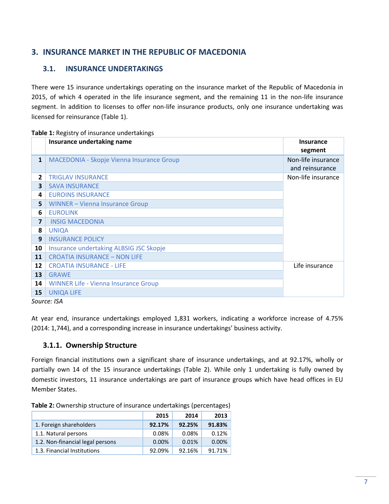## **3. INSURANCE MARKET IN THE REPUBLIC OF MACEDONIA**

## <span id="page-6-0"></span>**3.1. INSURANCE UNDERTAKINGS**

There were 15 insurance undertakings operating on the insurance market of the Republic of Macedonia in 2015, of which 4 operated in the life insurance segment, and the remaining 11 in the non-life insurance segment. In addition to licenses to offer non-life insurance products, only one insurance undertaking was licensed for reinsurance (Table 1).

#### **Table 1:** Registry of insurance undertakings

|                         | Insurance undertaking name                  | <b>Insurance</b>   |
|-------------------------|---------------------------------------------|--------------------|
|                         |                                             | segment            |
| $\mathbf{1}$            | MACEDONIA - Skopje Vienna Insurance Group   | Non-life insurance |
|                         |                                             | and reinsurance    |
| $\overline{2}$          | <b>TRIGLAV INSURANCE</b>                    | Non-life insurance |
| 3                       | <b>SAVA INSURANCE</b>                       |                    |
| 4                       | <b>EUROINS INSURANCE</b>                    |                    |
| 5                       | <b>WINNER - Vienna Insurance Group</b>      |                    |
| 6                       | <b>EUROLINK</b>                             |                    |
| $\overline{\mathbf{z}}$ | <b>INSIG MACEDONIA</b>                      |                    |
| 8                       | <b>UNIQA</b>                                |                    |
| 9                       | <b>INSURANCE POLICY</b>                     |                    |
| 10                      | Insurance undertaking ALBSIG JSC Skopje     |                    |
| 11                      | <b>CROATIA INSURANCE - NON LIFE</b>         |                    |
| 12                      | <b>CROATIA INSURANCE - LIFE</b>             | Life insurance     |
| 13                      | <b>GRAWE</b>                                |                    |
| 14                      | <b>WINNER Life - Vienna Insurance Group</b> |                    |
| 15                      | <b>UNIQA LIFE</b>                           |                    |
|                         | $C_{\text{OII}}$ $C_{\text{OII}}$           |                    |

*Source: ISA*

At year end, insurance undertakings employed 1,831 workers, indicating a workforce increase of 4.75% (2014: 1,744), and a corresponding increase in insurance undertakings' business activity.

## <span id="page-6-1"></span>**3.1.1. Ownership Structure**

Foreign financial institutions own a significant share of insurance undertakings, and at 92.17%, wholly or partially own 14 of the 15 insurance undertakings (Table 2). While only 1 undertaking is fully owned by domestic investors, 11 insurance undertakings are part of insurance groups which have head offices in EU Member States.

**Table 2:** Ownership structure of insurance undertakings (percentages)

|                                  | 2015   | 2014   | 2013     |
|----------------------------------|--------|--------|----------|
| 1. Foreign shareholders          | 92.17% | 92.25% | 91.83%   |
| 1.1. Natural persons             | 0.08%  | 0.08%  | 0.12%    |
| 1.2. Non-financial legal persons | 0.00%  | 0.01%  | $0.00\%$ |
| 1.3. Financial Institutions      | 92.09% | 92.16% | 91.71%   |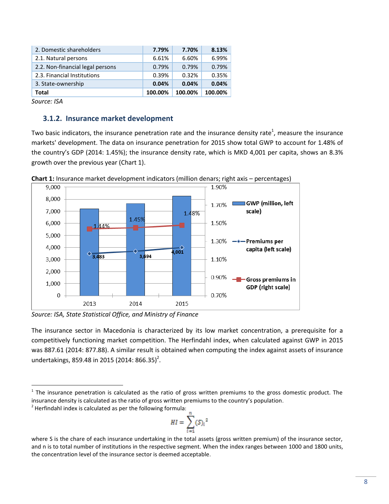| 2. Domestic shareholders         | 7.79%   | 7.70%   | 8.13%   |
|----------------------------------|---------|---------|---------|
| 2.1. Natural persons             | 6.61%   | 6.60%   | 6.99%   |
| 2.2. Non-financial legal persons | 0.79%   | 0.79%   | 0.79%   |
| 2.3. Financial Institutions      | 0.39%   | 0.32%   | 0.35%   |
| 3. State-ownership               | 0.04%   | 0.04%   | 0.04%   |
| <b>Total</b>                     | 100.00% | 100.00% | 100.00% |

*Source: ISA*

 $\overline{a}$ 

### <span id="page-7-0"></span>**3.1.2. Insurance market development**

Two basic indicators, the insurance penetration rate and the insurance density rate<sup>1</sup>, measure the insurance markets' development. The data on insurance penetration for 2015 show total GWP to account for 1.48% of the country's GDP (2014: 1.45%); the insurance density rate, which is MKD 4,001 per capita, shows an 8.3% growth over the previous year (Chart 1).





*Source: ISA, State Statistical Office, and Ministry of Finance*

The insurance sector in Macedonia is characterized by its low market concentration, a prerequisite for a competitively functioning market competition. The Herfindahl index, when calculated against GWP in 2015 was 887.61 (2014: 877.88). A similar result is obtained when computing the index against assets of insurance undertakings, 859.48 in 2015 (2014: 866.35)<sup>2</sup>.

 $2$  Herfindahl index is calculated as per the following formula:

$$
HI = \sum_{i=1}^{n} (S_i)^2
$$

 $1$  The insurance penetration is calculated as the ratio of gross written premiums to the gross domestic product. The insurance density is calculated as the ratio of gross written premiums to the country's population.

where S is the chare of each insurance undertaking in the total assets (gross written premium) of the insurance sector, and n is to total number of institutions in the respective segment. When the index ranges between 1000 and 1800 units, the concentration level of the insurance sector is deemed acceptable.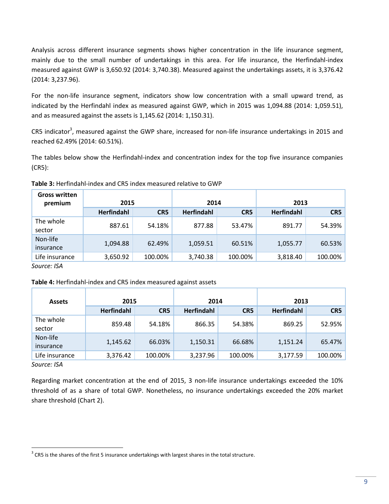Analysis across different insurance segments shows higher concentration in the life insurance segment, mainly due to the small number of undertakings in this area. For life insurance, the Herfindahl-index measured against GWP is 3,650.92 (2014: 3,740.38). Measured against the undertakings assets, it is 3,376.42 (2014: 3,237.96).

For the non-life insurance segment, indicators show low concentration with a small upward trend, as indicated by the Herfindahl index as measured against GWP, which in 2015 was 1,094.88 (2014: 1,059.51), and as measured against the assets is 1,145.62 (2014: 1,150.31).

CR5 indicator<sup>3</sup>, measured against the GWP share, increased for non-life insurance undertakings in 2015 and reached 62.49% (2014: 60.51%).

The tables below show the Herfindahl-index and concentration index for the top five insurance companies (CR5):

**Table 3:** Herfindahl-index and CR5 index measured relative to GWP

| <b>Gross written</b><br>premium               | 2015              |         | 2014              |         | 2013              |         |
|-----------------------------------------------|-------------------|---------|-------------------|---------|-------------------|---------|
|                                               | <b>Herfindahl</b> | CR5     | <b>Herfindahl</b> | CR5     | <b>Herfindahl</b> | CR5     |
| The whole<br>sector                           | 887.61            | 54.18%  | 877.88            | 53.47%  | 891.77            | 54.39%  |
| Non-life<br>insurance                         | 1,094.88          | 62.49%  | 1,059.51          | 60.51%  | 1,055.77          | 60.53%  |
| Life insurance<br>$\sim$ $\sim$ $\sim$ $\sim$ | 3,650.92          | 100.00% | 3,740.38          | 100.00% | 3,818.40          | 100.00% |

*Source: ISA*

#### **Table 4:** Herfindahl-index and CR5 index measured against assets

| <b>Assets</b>         | 2015              |         | 2014              |                 | 2013              |         |
|-----------------------|-------------------|---------|-------------------|-----------------|-------------------|---------|
|                       | <b>Herfindahl</b> | CR5     | <b>Herfindahl</b> | CR <sub>5</sub> | <b>Herfindahl</b> | CR5     |
| The whole<br>sector   | 859.48            | 54.18%  | 866.35            | 54.38%          | 869.25            | 52.95%  |
| Non-life<br>insurance | 1,145.62          | 66.03%  | 1,150.31          | 66.68%          | 1,151.24          | 65.47%  |
| Life insurance        | 3,376.42          | 100.00% | 3,237.96          | 100.00%         | 3,177.59          | 100.00% |

*Source: ISA*

 $\overline{a}$ 

Regarding market concentration at the end of 2015, 3 non-life insurance undertakings exceeded the 10% threshold of as a share of total GWP. Nonetheless, no insurance undertakings exceeded the 20% market share threshold (Chart 2).

 $3$  CR5 is the shares of the first 5 insurance undertakings with largest shares in the total structure.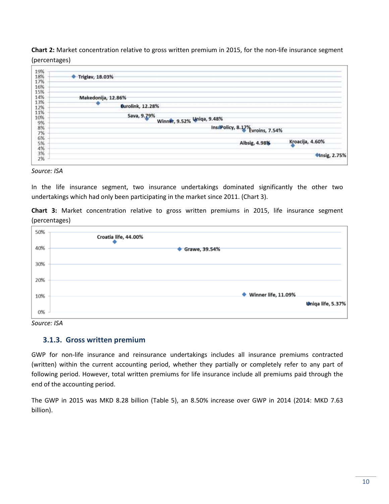**Chart 2:** Market concentration relative to gross written premium in 2015, for the non-life insurance segment (percentages)

| 18%                  | Triglav, 18.03%                  |                      |
|----------------------|----------------------------------|----------------------|
| 17%                  |                                  |                      |
| 16%                  |                                  |                      |
| 15%                  |                                  |                      |
| 14%                  | Makedonija, 12.86%               |                      |
| 13%                  | ❤                                |                      |
| 12%                  | <b>Eurolink</b> , 12.28%         |                      |
| 11%                  | Sava, 9.79%                      |                      |
| 10%                  | Winner, 9.52% Uniqa, 9.48%       |                      |
|                      |                                  |                      |
|                      | InstPolicy, 8.17% Evroins, 7.54% |                      |
| 9%<br>8%<br>7%<br>6% |                                  |                      |
|                      |                                  | Kroacija, 4.60%      |
| 5%                   | Albsig, 4.98%                    |                      |
| 4%<br>3%             |                                  |                      |
| 2%                   |                                  | <b>Minsig, 2.75%</b> |

#### *Source: ISA*

In the life insurance segment, two insurance undertakings dominated significantly the other two undertakings which had only been participating in the market since 2011. (Chart 3).

**Chart 3:** Market concentration relative to gross written premiums in 2015, life insurance segment (percentages)



<span id="page-9-0"></span>*Source: ISA*

#### **3.1.3. Gross written premium**

GWP for non-life insurance and reinsurance undertakings includes all insurance premiums contracted (written) within the current accounting period, whether they partially or completely refer to any part of following period. However, total written premiums for life insurance include all premiums paid through the end of the accounting period.

The GWP in 2015 was MKD 8.28 billion (Table 5), an 8.50% increase over GWP in 2014 (2014: MKD 7.63 billion).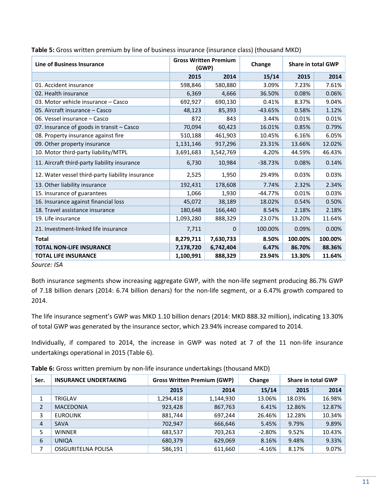| <b>Line of Business Insurance</b>                | <b>Gross Written Premium</b><br>(GWP) |           | Change    |         | <b>Share in total GWP</b> |  |
|--------------------------------------------------|---------------------------------------|-----------|-----------|---------|---------------------------|--|
|                                                  | 2015                                  | 2014      | 15/14     | 2015    | 2014                      |  |
| 01. Accident insurance                           | 598,846                               | 580,880   | 3.09%     | 7.23%   | 7.61%                     |  |
| 02. Health insurance                             | 6,369                                 | 4,666     | 36.50%    | 0.08%   | 0.06%                     |  |
| 03. Motor vehicle insurance – Casco              | 692,927                               | 690,130   | 0.41%     | 8.37%   | 9.04%                     |  |
| 05. Aircraft insurance - Casco                   | 48,123                                | 85,393    | $-43.65%$ | 0.58%   | 1.12%                     |  |
| 06. Vessel insurance - Casco                     | 872                                   | 843       | 3.44%     | 0.01%   | 0.01%                     |  |
| 07. Insurance of goods in transit - Casco        | 70,094                                | 60,423    | 16.01%    | 0.85%   | 0.79%                     |  |
| 08. Property insurance against fire              | 510,188                               | 461,903   | 10.45%    | 6.16%   | 6.05%                     |  |
| 09. Other property insurance                     | 1,131,146                             | 917,296   | 23.31%    | 13.66%  | 12.02%                    |  |
| 10. Motor third-party liability/MTPL             | 3,691,683                             | 3,542,769 | 4.20%     | 44.59%  | 46.43%                    |  |
| 11. Aircraft third-party liability insurance     | 6,730                                 | 10,984    | $-38.73%$ | 0.08%   | 0.14%                     |  |
| 12. Water vessel third-party liability insurance | 2,525                                 | 1,950     | 29.49%    | 0.03%   | 0.03%                     |  |
| 13. Other liability insurance                    | 192,431                               | 178,608   | 7.74%     | 2.32%   | 2.34%                     |  |
| 15. Insurance of guarantees                      | 1,066                                 | 1,930     | $-44.77%$ | 0.01%   | 0.03%                     |  |
| 16. Insurance against financial loss             | 45,072                                | 38,189    | 18.02%    | 0.54%   | 0.50%                     |  |
| 18. Travel assistance insurance                  | 180,648                               | 166,440   | 8.54%     | 2.18%   | 2.18%                     |  |
| 19. Life insurance                               | 1,093,280                             | 888,329   | 23.07%    | 13.20%  | 11.64%                    |  |
| 21. Investment-linked life insurance             | 7,711                                 | $\Omega$  | 100.00%   | 0.09%   | 0.00%                     |  |
| <b>Total</b>                                     | 8,279,711                             | 7,630,733 | 8.50%     | 100.00% | 100.00%                   |  |
| <b>TOTAL NON-LIFE INSURANCE</b>                  | 7,178,720                             | 6,742,404 | 6.47%     | 86.70%  | 88.36%                    |  |
| <b>TOTAL LIFE INSURANCE</b>                      | 1,100,991                             | 888,329   | 23.94%    | 13.30%  | 11.64%                    |  |

**Table 5:** Gross written premium by line of business insurance (insurance class) (thousand MKD)

*Source: ISA*

Both insurance segments show increasing aggregate GWP, with the non-life segment producing 86.7% GWP of 7.18 billion denars (2014: 6.74 billion denars) for the non-life segment, or a 6.47% growth compared to 2014.

The life insurance segment's GWP was MKD 1.10 billion denars (2014: MKD 888.32 million), indicating 13.30% of total GWP was generated by the insurance sector, which 23.94% increase compared to 2014.

Individually, if compared to 2014, the increase in GWP was noted at 7 of the 11 non-life insurance undertakings operational in 2015 (Table 6).

|  |  | Table 6: Gross written premium by non-life insurance undertakings (thousand MKD) |
|--|--|----------------------------------------------------------------------------------|
|--|--|----------------------------------------------------------------------------------|

| Ser.           | <b>INSURANCE UNDERTAKING</b> |           | <b>Gross Written Premium (GWP)</b> | Change   |        | Share in total GWP |
|----------------|------------------------------|-----------|------------------------------------|----------|--------|--------------------|
|                |                              | 2015      | 2014                               | 15/14    | 2015   | 2014               |
| 1              | TRIGLAV                      | 1,294,418 | 1,144,930                          | 13.06%   | 18.03% | 16.98%             |
| $\overline{2}$ | <b>MACEDONIA</b>             | 923,428   | 867,763                            | 6.41%    | 12.86% | 12.87%             |
| 3              | <b>EUROLINK</b>              | 881,744   | 697,244                            | 26.46%   | 12.28% | 10.34%             |
| 4              | <b>SAVA</b>                  | 702,947   | 666,646                            | 5.45%    | 9.79%  | 9.89%              |
| 5              | <b>WINNER</b>                | 683,537   | 703,263                            | $-2.80%$ | 9.52%  | 10.43%             |
| 6              | <b>UNIQA</b>                 | 680,379   | 629,069                            | 8.16%    | 9.48%  | 9.33%              |
| 7              | OSIGURITELNA POLISA          | 586,191   | 611,660                            | $-4.16%$ | 8.17%  | 9.07%              |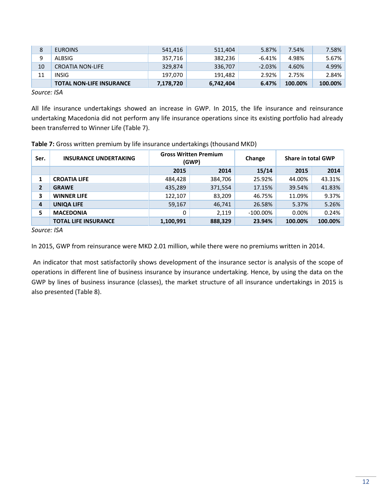| 8  | <b>EUROINS</b>                  | 541,416   | 511,404   | 5.87%     | 7.54%   | 7.58%   |
|----|---------------------------------|-----------|-----------|-----------|---------|---------|
| 9  | ALBSIG                          | 357,716   | 382,236   | $-6.41\%$ | 4.98%   | 5.67%   |
| 10 | <b>CROATIA NON-LIFE</b>         | 329,874   | 336,707   | $-2.03%$  | 4.60%   | 4.99%   |
| 11 | INSIG                           | 197.070   | 191.482   | 2.92%     | 2.75%   | 2.84%   |
|    | <b>TOTAL NON-LIFE INSURANCE</b> | 7,178,720 | 6,742,404 | 6.47%     | 100.00% | 100.00% |

*Source: ISA*

All life insurance undertakings showed an increase in GWP. In 2015, the life insurance and reinsurance undertaking Macedonia did not perform any life insurance operations since its existing portfolio had already been transferred to Winner Life (Table 7).

| Ser.           | <b>INSURANCE UNDERTAKING</b> | <b>Gross Written Premium</b><br>(GWP) |         | Change      | <b>Share in total GWP</b> |         |
|----------------|------------------------------|---------------------------------------|---------|-------------|---------------------------|---------|
|                |                              | 2015                                  | 2014    | 15/14       | 2015                      | 2014    |
| 1              | <b>CROATIA LIFE</b>          | 484,428                               | 384,706 | 25.92%      | 44.00%                    | 43.31%  |
| $\overline{2}$ | <b>GRAWE</b>                 | 435,289                               | 371,554 | 17.15%      | 39.54%                    | 41.83%  |
| 3              | <b>WINNER LIFE</b>           | 122,107                               | 83,209  | 46.75%      | 11.09%                    | 9.37%   |
| 4              | <b>UNIQA LIFE</b>            | 59,167                                | 46,741  | 26.58%      | 5.37%                     | 5.26%   |
| 5.             | <b>MACEDONIA</b>             | 0                                     | 2,119   | $-100.00\%$ | 0.00%                     | 0.24%   |
|                | <b>TOTAL LIFE INSURANCE</b>  | 1,100,991                             | 888,329 | 23.94%      | 100.00%                   | 100.00% |

#### **Table 7:** Gross written premium by life insurance undertakings (thousand MKD)

*Source: ISA*

In 2015, GWP from reinsurance were MKD 2.01 million, while there were no premiums written in 2014.

An indicator that most satisfactorily shows development of the insurance sector is analysis of the scope of operations in different line of business insurance by insurance undertaking. Hence, by using the data on the GWP by lines of business insurance (classes), the market structure of all insurance undertakings in 2015 is also presented (Table 8).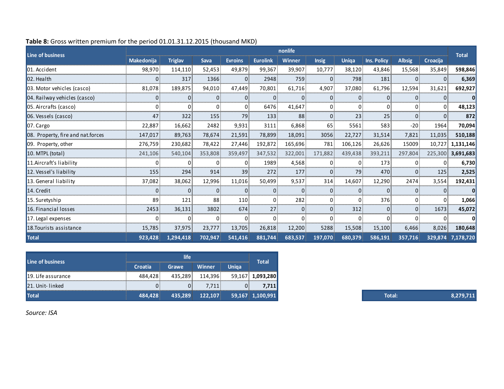| <b>Line of business</b>           |                   |                |             |                |                   | nonlife        |                |                |                    |               |          |                   |
|-----------------------------------|-------------------|----------------|-------------|----------------|-------------------|----------------|----------------|----------------|--------------------|---------------|----------|-------------------|
|                                   | <b>Makedonija</b> | <b>Triglav</b> | <b>Sava</b> | <b>Evroins</b> | <b>Eurolink</b>   | <b>Winner</b>  | <b>Insig</b>   | <b>Uniga</b>   | <b>Ins. Policy</b> | <b>Albsig</b> | Croacija | <b>Total</b>      |
| 01. Accident                      | 98,970            | 114,110        | 52,453      | 49,879         | 99,367            | 39,907         | 10,777         | 38,120         | 43,846             | 15,568        | 35,849   | 598,846           |
| $ 02.$ Health                     |                   | 317            | 1366        | $\mathbf{0}$   | 2948              | 759            | $\Omega$       | 798            | 181                |               | $\Omega$ | 6,369             |
| 03. Motor vehicles (casco)        | 81,078            | 189,875        | 94,010      | 47,449         | 70,801            | 61,716         | 4,907          | 37,080         | 61,796             | 12,594        | 31,621   | 692,927           |
| 04. Railway vehicles (casco)      |                   | 0              | 01          | $\Omega$       | $\vert 0 \rangle$ | 0 <sup>8</sup> | $\Omega$       | $\Omega$       | $ 0\rangle$        |               | $\Omega$ | $\mathbf{0}$      |
| 05. Aircrafts (casco)             |                   | 0              | 0           | $\overline{0}$ | 6476              | 41,647         | 0              | 0              | 0                  |               | $\Omega$ | 48,123            |
| 06. Vessels (casco)               | 47                | 322            | 155         | 79             | 133               | 88             | $\Omega$       | 23             | 25                 | O.            | $\Omega$ | 872               |
| 07. Cargo                         | 22,887            | 16,662         | 2482        | 9,931          | 3111              | 6,868          | 65             | 5561           | 583                | $-20$         | 1964     | 70,094            |
| 08. Property, fire and nat.forces | 147,017           | 89,763         | 78,674      | 21,591         | 78,899            | 18,091         | 3056           | 22,727         | 31,514             | 7,821         | 11,035   | 510,188           |
| 09. Property, other               | 276,759           | 230,682        | 78,422      | 27,446         | 192,872           | 165,696        | 781            | 106,126        | 26,626             | 15009         | 10,727   | 1,131,146         |
| 10. MTPL (total)                  | 241,106           | 540,104        | 353,808     | 359,497        | 347,532           | 322,001        | 171,882        | 439,438        | 393,211            | 297,804       | 225,300  | 3,691,683         |
| 11.Aircraft's liability           |                   | 0              |             | $\Omega$       | 1989              | 4,568          |                | $\Omega$       | 173                |               | $\Omega$ | 6,730             |
| 12. Vessel's liability            | 155               | 294            | 914         | 39             | 272               | 177            | $\Omega$       | 79             | 470                | <sup>0</sup>  | 125      | 2,525             |
| 13. General liability             | 37,082            | 38,062         | 12,996      | 11,016         | 50,499            | 9,537          | 314            | 14,607         | 12,290             | 2474          | 3,554    | 192,431           |
| 14. Credit                        |                   | $\Omega$       | 01          | 0              | $\mathbf{0}$      | 0              | $\Omega$       | $\overline{0}$ | $\vert 0 \rangle$  |               |          | 0                 |
| 15. Suretyship                    | 89                | 121            | 88          | 110            | $\mathbf{0}$      | 282            | 0              | 0              | 376                |               | $\Omega$ | 1,066             |
| 16. Financial losses              | 2453              | 36,131         | 3802        | 674            | 27 <sup>8</sup>   | 0              | 0 <sup>8</sup> | 312            | 0 <sup>8</sup>     | $\Omega$      | 1673     | 45,072            |
| 17. Legal expenses                |                   | $\mathbf{0}$   | 0           | $\Omega$       | $\vert 0 \rangle$ | 0 <sup>1</sup> |                | 0              | $\mathbf{0}$       |               | 0        |                   |
| 18. Tourists assistance           | 15,785            | 37,975         | 23,777      | 13,705         | 26,818            | 12,200         | 5288           | 15,508         | 15,100             | 6,466         | 8,026    | 180,648           |
| <b>Total</b>                      | 923,428           | 1,294,418      | 702,947     | 541,416        | 881,744           | 683,537        | 197,070        | 680,379        | 586,191            | 357,716       |          | 329,874 7,178,720 |

#### **Table 8:** Gross written premium for the period 01.01.31.12.2015 (thousand MKD)

| Line of business   |                | <b>Total</b> |               |              |                  |
|--------------------|----------------|--------------|---------------|--------------|------------------|
|                    | <b>Croatia</b> | Grawe        | <b>Winner</b> | <b>Uniga</b> |                  |
| 19. Life assurance | 484,428        | 435,289      | 114,396       |              | 59,167 1,093,280 |
| 21. Unit-linked    |                |              | 7.711         |              | 7,711            |
| <b>Total</b>       | 484,428        | 435,289      | 122,107       |              | 59,167 1,100,991 |

*Source: ISA*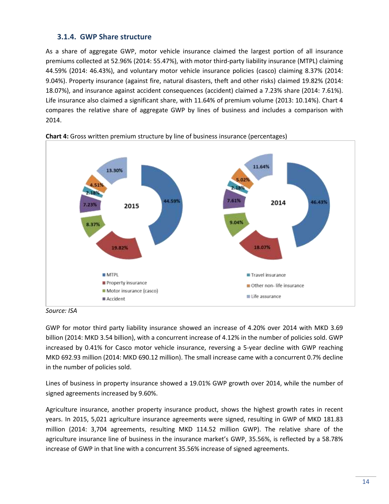## <span id="page-13-0"></span>**3.1.4. GWP Share structure**

As a share of aggregate GWP, motor vehicle insurance claimed the largest portion of all insurance premiums collected at 52.96% (2014: 55.47%), with motor third-party liability insurance (MTPL) claiming 44.59% (2014: 46.43%), and voluntary motor vehicle insurance policies (casco) claiming 8.37% (2014: 9.04%). Property insurance (against fire, natural disasters, theft and other risks) claimed 19.82% (2014: 18.07%), and insurance against accident consequences (accident) claimed a 7.23% share (2014: 7.61%). Life insurance also claimed a significant share, with 11.64% of premium volume (2013: 10.14%). Chart 4 compares the relative share of aggregate GWP by lines of business and includes a comparison with 2014.



**Chart 4:** Gross written premium structure by line of business insurance (percentages)

*Source: ISA*

GWP for motor third party liability insurance showed an increase of 4.20% over 2014 with MKD 3.69 billion (2014: MKD 3.54 billion), with a concurrent increase of 4.12% in the number of policies sold. GWP increased by 0.41% for Casco motor vehicle insurance, reversing a 5-year decline with GWP reaching MKD 692.93 million (2014: MKD 690.12 million). The small increase came with a concurrent 0.7% decline in the number of policies sold.

Lines of business in property insurance showed a 19.01% GWP growth over 2014, while the number of signed agreements increased by 9.60%.

Agriculture insurance, another property insurance product, shows the highest growth rates in recent years. In 2015, 5,021 agriculture insurance agreements were signed, resulting in GWP of MKD 181.83 million (2014: 3,704 agreements, resulting MKD 114.52 million GWP). The relative share of the agriculture insurance line of business in the insurance market's GWP, 35.56%, is reflected by a 58.78% increase of GWP in that line with a concurrent 35.56% increase of signed agreements.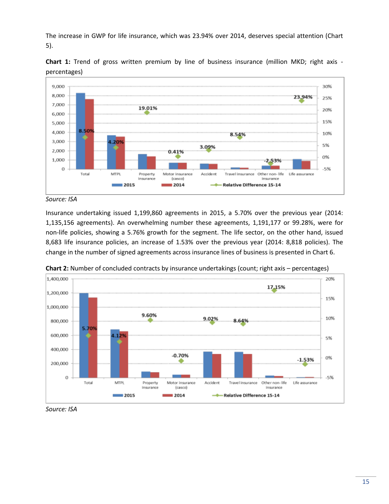The increase in GWP for life insurance, which was 23.94% over 2014, deserves special attention (Chart 5).



**Chart 1:** Trend of gross written premium by line of business insurance (million MKD; right axis percentages)

Insurance undertaking issued 1,199,860 agreements in 2015, a 5.70% over the previous year (2014: 1,135,156 agreements). An overwhelming number these agreements, 1,191,177 or 99.28%, were for non-life policies, showing a 5.76% growth for the segment. The life sector, on the other hand, issued 8,683 life insurance policies, an increase of 1.53% over the previous year (2014: 8,818 policies). The change in the number of signed agreements across insurance lines of business is presented in Chart 6.



**Chart 2:** Number of concluded contracts by insurance undertakings (count; right axis – percentages)

*Source: ISA*

*Source: ISA*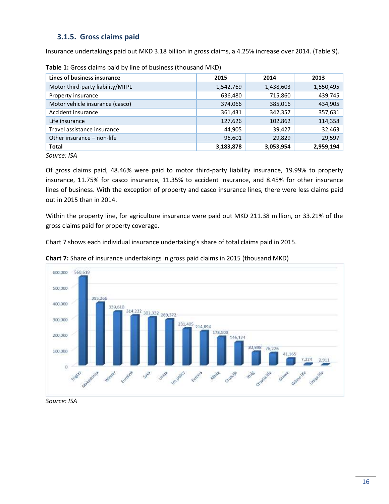## <span id="page-15-0"></span>**3.1.5. Gross claims paid**

Insurance undertakings paid out MKD 3.18 billion in gross claims, a 4.25% increase over 2014. (Table 9).

| Lines of business insurance      | 2015      | 2014      | 2013      |
|----------------------------------|-----------|-----------|-----------|
| Motor third-party liability/MTPL | 1,542,769 | 1,438,603 | 1,550,495 |
| Property insurance               | 636,480   | 715,860   | 439,745   |
| Motor vehicle insurance (casco)  | 374,066   | 385,016   | 434,905   |
| Accident insurance               | 361,431   | 342,357   | 357,631   |
| Life insurance                   | 127,626   | 102,862   | 114,358   |
| Travel assistance insurance      | 44,905    | 39,427    | 32,463    |
| Other insurance - non-life       | 96,601    | 29,829    | 29,597    |
| <b>Total</b>                     | 3,183,878 | 3,053,954 | 2,959,194 |

**Table 1:** Gross claims paid by line of business (thousand MKD)

*Source: ISA*

Of gross claims paid, 48.46% were paid to motor third-party liability insurance, 19.99% to property insurance, 11.75% for casco insurance, 11.35% to accident insurance, and 8.45% for other insurance lines of business. With the exception of property and casco insurance lines, there were less claims paid out in 2015 than in 2014.

Within the property line, for agriculture insurance were paid out MKD 211.38 million, or 33.21% of the gross claims paid for property coverage.

Chart 7 shows each individual insurance undertaking's share of total claims paid in 2015.



**Chart 7:** Share of insurance undertakings in gross paid claims in 2015 (thousand MKD)

*Source: ISA*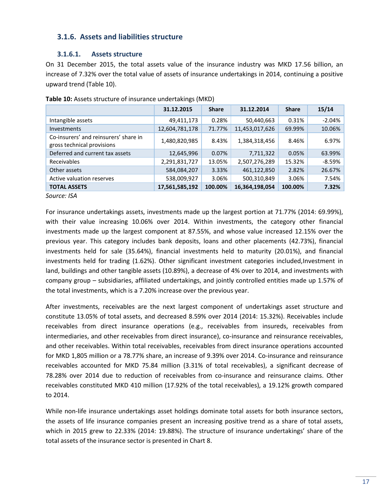## <span id="page-16-0"></span>**3.1.6. Assets and liabilities structure**

#### **3.1.6.1. Assets structure**

On 31 December 2015, the total assets value of the insurance industry was MKD 17.56 billion, an increase of 7.32% over the total value of assets of insurance undertakings in 2014, continuing a positive upward trend (Table 10).

|                                                                     | 31.12.2015     | <b>Share</b> | 31.12.2014     | <b>Share</b> | 15/14     |
|---------------------------------------------------------------------|----------------|--------------|----------------|--------------|-----------|
| Intangible assets                                                   | 49,411,173     | 0.28%        | 50,440,663     | 0.31%        | $-2.04\%$ |
| Investments                                                         | 12,604,781,178 | 71.77%       | 11,453,017,626 | 69.99%       | 10.06%    |
| Co-insurers' and reinsurers' share in<br>gross technical provisions | 1,480,820,985  | 8.43%        | 1,384,318,456  | 8.46%        | 6.97%     |
| Deferred and current tax assets                                     | 12,645,996     | 0.07%        | 7,711,322      | 0.05%        | 63.99%    |
| Receivables                                                         | 2,291,831,727  | 13.05%       | 2,507,276,289  | 15.32%       | -8.59%    |
| Other assets                                                        | 584,084,207    | 3.33%        | 461,122,850    | 2.82%        | 26.67%    |
| Active valuation reserves                                           | 538,009,927    | 3.06%        | 500,310,849    | 3.06%        | 7.54%     |
| <b>TOTAL ASSETS</b>                                                 | 17,561,585,192 | 100.00%      | 16,364,198,054 | 100.00%      | 7.32%     |

**Table 10:** Assets structure of insurance undertakings (MKD)

*Source: ISA*

For insurance undertakings assets, investments made up the largest portion at 71.77% (2014: 69.99%), with their value increasing 10.06% over 2014. Within investments, the category other financial investments made up the largest component at 87.55%, and whose value increased 12.15% over the previous year. This category includes bank deposits, loans and other placements (42.73%), financial investments held for sale (35.64%), financial investments held to maturity (20.01%), and financial investments held for trading (1.62%). Other significant investment categories included,Investment in land, buildings and other tangible assets (10.89%), a decrease of 4% over to 2014, and investments with company group – subsidiaries, affiliated undertakings, and jointly controlled entities made up 1.57% of the total investments, which is a 7.20% increase over the previous year.

After investments, receivables are the next largest component of undertakings asset structure and constitute 13.05% of total assets, and decreased 8.59% over 2014 (2014: 15.32%). Receivables include receivables from direct insurance operations (e.g., receivables from insureds, receivables from intermediaries, and other receivables from direct insurance), co-insurance and reinsurance receivables, and other receivables. Within total receivables, receivables from direct insurance operations accounted for MKD 1,805 million or a 78.77% share, an increase of 9.39% over 2014. Co-insurance and reinsurance receivables accounted for MKD 75.84 million (3.31% of total receivables), a significant decrease of 78.28% over 2014 due to reduction of receivables from co-insurance and reinsurance claims. Other receivables constituted MKD 410 million (17.92% of the total receivables), a 19.12% growth compared to 2014.

While non-life insurance undertakings asset holdings dominate total assets for both insurance sectors, the assets of life insurance companies present an increasing positive trend as a share of total assets, which in 2015 grew to 22.33% (2014: 19.88%). The structure of insurance undertakings' share of the total assets of the insurance sector is presented in Chart 8.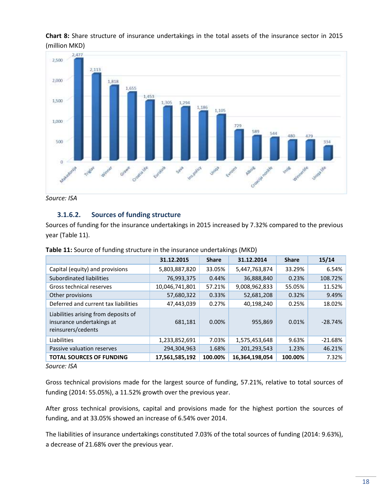**Chart 8:** Share structure of insurance undertakings in the total assets of the insurance sector in 2015 (million MKD)



*Source: ISA*

## **3.1.6.2. Sources of funding structure**

Sources of funding for the insurance undertakings in 2015 increased by 7.32% compared to the previous year (Table 11).

|                                                                                         | 31.12.2015     | <b>Share</b> | 31.12.2014     | <b>Share</b> | 15/14     |
|-----------------------------------------------------------------------------------------|----------------|--------------|----------------|--------------|-----------|
| Capital (equity) and provisions                                                         | 5,803,887,820  | 33.05%       | 5,447,763,874  | 33.29%       | 6.54%     |
| Subordinated liabilities                                                                | 76,993,375     | 0.44%        | 36,888,840     | 0.23%        | 108.72%   |
| Gross technical reserves                                                                | 10,046,741,801 | 57.21%       | 9,008,962,833  | 55.05%       | 11.52%    |
| Other provisions                                                                        | 57,680,322     | 0.33%        | 52,681,208     | 0.32%        | 9.49%     |
| Deferred and current tax liabilities                                                    | 47,443,039     | 0.27%        | 40,198,240     | 0.25%        | 18.02%    |
| Liabilities arising from deposits of<br>insurance undertakings at<br>reinsurers/cedents | 681,181        | $0.00\%$     | 955,869        | 0.01%        | $-28.74%$ |
| Liabilities                                                                             | 1,233,852,691  | 7.03%        | 1,575,453,648  | 9.63%        | $-21.68%$ |
| Passive valuation reserves                                                              | 294,304,963    | 1.68%        | 201,293,543    | 1.23%        | 46.21%    |
| <b>TOTAL SOURCES OF FUNDING</b>                                                         | 17,561,585,192 | 100.00%      | 16,364,198,054 | 100.00%      | 7.32%     |

| Table 11: Source of funding structure in the insurance undertakings (MKD) |  |
|---------------------------------------------------------------------------|--|
|---------------------------------------------------------------------------|--|

*Source: ISA*

Gross technical provisions made for the largest source of funding, 57.21%, relative to total sources of funding (2014: 55.05%), a 11.52% growth over the previous year.

After gross technical provisions, capital and provisions made for the highest portion the sources of funding, and at 33.05% showed an increase of 6.54% over 2014.

The liabilities of insurance undertakings constituted 7.03% of the total sources of funding (2014: 9.63%), a decrease of 21.68% over the previous year.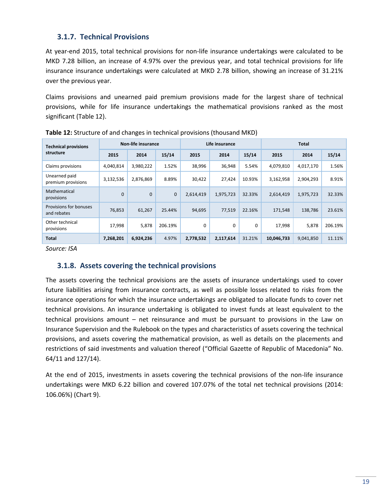## <span id="page-18-0"></span>**3.1.7. Technical Provisions**

At year-end 2015, total technical provisions for non-life insurance undertakings were calculated to be MKD 7.28 billion, an increase of 4.97% over the previous year, and total technical provisions for life insurance insurance undertakings were calculated at MKD 2.78 billion, showing an increase of 31.21% over the previous year.

Claims provisions and unearned paid premium provisions made for the largest share of technical provisions, while for life insurance undertakings the mathematical provisions ranked as the most significant (Table 12).

| <b>Technical provisions</b>           | Non-life insurance |             |              |           | Life insurance |        | Total      |           |         |
|---------------------------------------|--------------------|-------------|--------------|-----------|----------------|--------|------------|-----------|---------|
| structure                             | 2015               | 2014        | 15/14        | 2015      | 2014           | 15/14  | 2015       | 2014      | 15/14   |
| Claims provisions                     | 4,040,814          | 3,980,222   | 1.52%        | 38,996    | 36,948         | 5.54%  | 4,079,810  | 4,017,170 | 1.56%   |
| Unearned paid<br>premium provisions   | 3,132,536          | 2,876,869   | 8.89%        | 30,422    | 27.424         | 10.93% | 3,162,958  | 2,904,293 | 8.91%   |
| Mathematical<br>provisions            | $\Omega$           | $\mathbf 0$ | $\mathbf{0}$ | 2.614.419 | 1,975,723      | 32.33% | 2,614,419  | 1,975,723 | 32.33%  |
| Provisions for bonuses<br>and rebates | 76,853             | 61.267      | 25.44%       | 94.695    | 77.519         | 22.16% | 171.548    | 138.786   | 23.61%  |
| Other technical<br>provisions         | 17,998             | 5,878       | 206.19%      | $\Omega$  | 0              | 0      | 17,998     | 5,878     | 206.19% |
| <b>Total</b>                          | 7,268,201          | 6,924,236   | 4.97%        | 2,778,532 | 2,117,614      | 31.21% | 10,046,733 | 9,041,850 | 11.11%  |

**Table 12:** Structure of and changes in technical provisions (thousand MKD)

*Source: ISA*

## <span id="page-18-1"></span>**3.1.8. Assets covering the technical provisions**

The assets covering the technical provisions are the assets of insurance undertakings used to cover future liabilities arising from insurance contracts, as well as possible losses related to risks from the insurance operations for which the insurance undertakings are obligated to allocate funds to cover net technical provisions. An insurance undertaking is obligated to invest funds at least equivalent to the technical provisions amount – net reinsurance and must be pursuant to provisions in the Law on Insurance Supervision and the Rulebook on the types and characteristics of assets covering the technical provisions, and assets covering the mathematical provision, as well as details on the placements and restrictions of said investments and valuation thereof ("Official Gazette of Republic of Macedonia" No. 64/11 and 127/14).

At the end of 2015, investments in assets covering the technical provisions of the non-life insurance undertakings were MKD 6.22 billion and covered 107.07% of the total net technical provisions (2014: 106.06%) (Chart 9).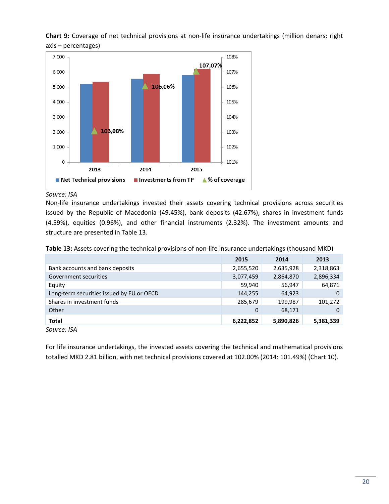

**Chart 9:** Coverage of net technical provisions at non-life insurance undertakings (million denars; right axis – percentages)

*Source: ISA*

Non-life insurance undertakings invested their assets covering technical provisions across securities issued by the Republic of Macedonia (49.45%), bank deposits (42.67%), shares in investment funds (4.59%), equities (0.96%), and other financial instruments (2.32%). The investment amounts and structure are presented in Table 13.

**Table 13:** Assets covering the technical provisions of non-life insurance undertakings (thousand MKD)

|                                           | 2015      | 2014      | 2013      |
|-------------------------------------------|-----------|-----------|-----------|
| Bank accounts and bank deposits           | 2,655,520 | 2,635,928 | 2,318,863 |
| Government securities                     | 3,077,459 | 2,864,870 | 2,896,334 |
| Equity                                    | 59,940    | 56,947    | 64,871    |
| Long-term securities issued by EU or OECD | 144,255   | 64,923    | 0         |
| Shares in investment funds                | 285,679   | 199,987   | 101,272   |
| Other                                     | 0         | 68,171    | 0         |
| <b>Total</b>                              | 6,222,852 | 5,890,826 | 5,381,339 |
|                                           |           |           |           |

*Source: ISA*

For life insurance undertakings, the invested assets covering the technical and mathematical provisions totalled MKD 2.81 billion, with net technical provisions covered at 102.00% (2014: 101.49%) (Chart 10).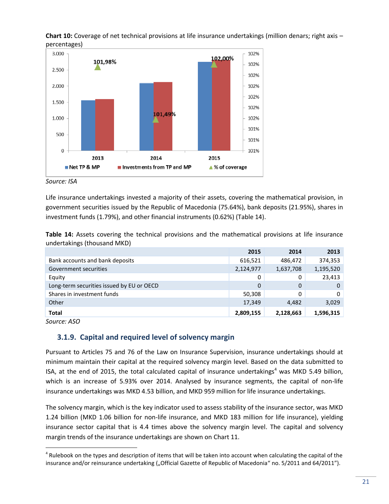

**Chart 10:** Coverage of net technical provisions at life insurance undertakings (million denars; right axis – percentages)

*Source: ISA*

Life insurance undertakings invested a majority of their assets, covering the mathematical provision, in government securities issued by the Republic of Macedonia (75.64%), bank deposits (21.95%), shares in investment funds (1.79%), and other financial instruments (0.62%) (Table 14).

**Table 14:** Assets covering the technical provisions and the mathematical provisions at life insurance undertakings (thousand MKD)

|                                           | 2015      | 2014      | 2013      |
|-------------------------------------------|-----------|-----------|-----------|
| Bank accounts and bank deposits           | 616,521   | 486,472   | 374,353   |
| Government securities                     | 2,124,977 | 1,637,708 | 1,195,520 |
| Equity                                    | 0         | 0         | 23,413    |
| Long-term securities issued by EU or OECD | 0         | 0         | 0         |
| Shares in investment funds                | 50,308    | 0         | 0         |
| Other                                     | 17,349    | 4,482     | 3,029     |
| <b>Total</b>                              | 2,809,155 | 2,128,663 | 1,596,315 |

<span id="page-20-0"></span>*Source: ASO*

 $\overline{a}$ 

## **3.1.9. Capital and required level of solvency margin**

Pursuant to Articles 75 and 76 of the Law on Insurance Supervision, insurance undertakings should at minimum maintain their capital at the required solvency margin level. Based on the data submitted to ISA, at the end of 2015, the total calculated capital of insurance undertakings<sup>4</sup> was MKD 5.49 billion, which is an increase of 5.93% over 2014. Analysed by insurance segments, the capital of non-life insurance undertakings was MKD 4.53 billion, and MKD 959 million for life insurance undertakings.

The solvency margin, which is the key indicator used to assess stability of the insurance sector, was MKD 1.24 billion (MKD 1.06 billion for non-life insurance, and MKD 183 million for life insurance), yielding insurance sector capital that is 4.4 times above the solvency margin level. The capital and solvency margin trends of the insurance undertakings are shown on Chart 11.

<sup>&</sup>lt;sup>4</sup> Rulebook on the types and description of items that will be taken into account when calculating the capital of the insurance and/or reinsurance undertaking ("Official Gazette of Republic of Macedonia" no. 5/2011 and 64/2011").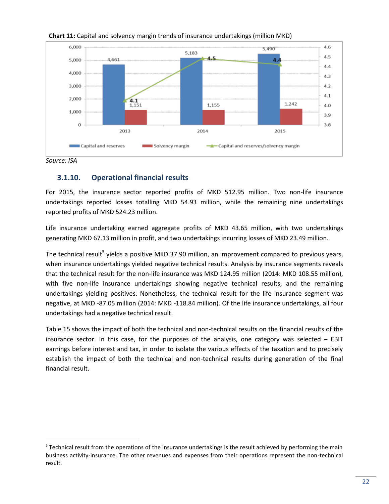

#### **Chart 11:** Capital and solvency margin trends of insurance undertakings (million MKD)

<span id="page-21-0"></span>

 $\overline{\phantom{a}}$ 

## **3.1.10. Operational financial results**

For 2015, the insurance sector reported profits of MKD 512.95 million. Two non-life insurance undertakings reported losses totalling MKD 54.93 million, while the remaining nine undertakings reported profits of MKD 524.23 million.

Life insurance undertaking earned aggregate profits of MKD 43.65 million, with two undertakings generating MKD 67.13 million in profit, and two undertakings incurring losses of MKD 23.49 million.

The technical result<sup>5</sup> yields a positive MKD 37.90 million, an improvement compared to previous years, when insurance undertakings yielded negative technical results. Analysis by insurance segments reveals that the technical result for the non-life insurance was MKD 124.95 million (2014: MKD 108.55 million), with five non-life insurance undertakings showing negative technical results, and the remaining undertakings yielding positives. Nonetheless, the technical result for the life insurance segment was negative, at MKD -87.05 million (2014: MKD -118.84 million). Of the life insurance undertakings, all four undertakings had a negative technical result.

Table 15 shows the impact of both the technical and non-technical results on the financial results of the insurance sector. In this case, for the purposes of the analysis, one category was selected – EBIT earnings before interest and tax, in order to isolate the various effects of the taxation and to precisely establish the impact of both the technical and non-technical results during generation of the final financial result.

<sup>&</sup>lt;sup>5</sup> Technical result from the operations of the insurance undertakings is the result achieved by performing the main business activity-insurance. The other revenues and expenses from their operations represent the non-technical result.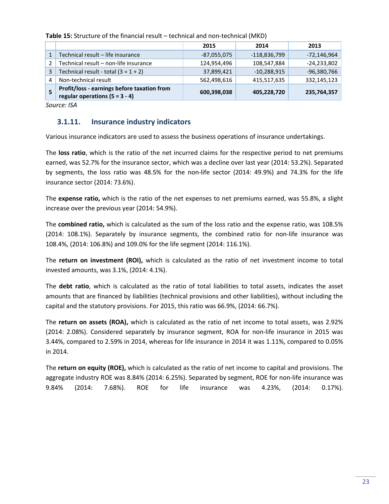|   |                                                                                 | 2015          | 2014           | 2013          |
|---|---------------------------------------------------------------------------------|---------------|----------------|---------------|
|   | Technical result - life insurance                                               | $-87,055,075$ | $-118,836,799$ | $-72,146,964$ |
|   | Technical result - non-life insurance                                           | 124,954,496   | 108,547,884    | $-24,233,802$ |
| 3 | Technical result - total $(3 = 1 + 2)$                                          | 37,899,421    | $-10,288,915$  | $-96,380,766$ |
| 4 | Non-technical result                                                            | 562,498,616   | 415,517,635    | 332,145,123   |
|   | Profit/loss - earnings before taxation from<br>regular operations $(5 = 3 - 4)$ | 600,398,038   | 405,228,720    | 235,764,357   |

**Table 15:** Structure of the financial result – technical and non-technical (MKD)

*Source: ISA*

## <span id="page-22-0"></span>**3.1.11. Insurance industry indicators**

Various insurance indicators are used to assess the business operations of insurance undertakings.

The **loss ratio**, which is the ratio of the net incurred claims for the respective period to net premiums earned, was 52.7% for the insurance sector, which was a decline over last year (2014: 53.2%). Separated by segments, the loss ratio was 48.5% for the non-life sector (2014: 49.9%) and 74.3% for the life insurance sector (2014: 73.6%).

The **expense ratio,** which is the ratio of the net expenses to net premiums earned, was 55.8%, a slight increase over the previous year (2014: 54.9%).

The **combined ratio,** which is calculated as the sum of the loss ratio and the expense ratio, was 108.5% (2014: 108.1%). Separately by insurance segments, the combined ratio for non-life insurance was 108.4%, (2014: 106.8%) and 109.0% for the life segment (2014: 116.1%).

The **return on investment (ROI),** which is calculated as the ratio of net investment income to total invested amounts, was 3.1%, (2014: 4.1%).

The **debt ratio**, which is calculated as the ratio of total liabilities to total assets, indicates the asset amounts that are financed by liabilities (technical provisions and other liabilities), without including the capital and the statutory provisions. For 2015, this ratio was 66.9%, (2014: 66.7%).

The **return on assets (ROA),** which is calculated as the ratio of net income to total assets, was 2.92% (2014: 2.08%). Considered separately by insurance segment, ROA for non-life insurance in 2015 was 3.44%, compared to 2.59% in 2014, whereas for life insurance in 2014 it was 1.11%, compared to 0.05% in 2014.

The **return on equity (ROE),** which is calculated as the ratio of net income to capital and provisions. The aggregate industry ROE was 8.84% (2014: 6.25%). Separated by segment, ROE for non-life insurance was 9.84% (2014: 7.68%). ROE for life insurance was 4.23%, (2014: 0.17%).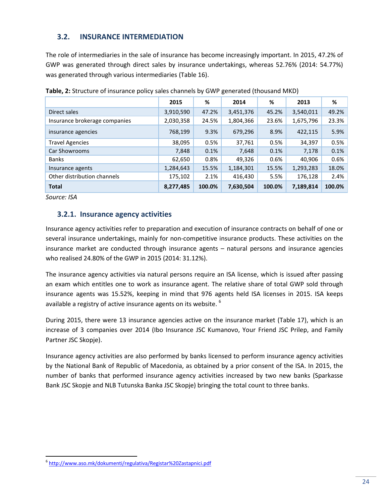## <span id="page-23-0"></span>**3.2. INSURANCE INTERMEDIATION**

The role of intermediaries in the sale of insurance has become increasingly important. In 2015, 47.2% of GWP was generated through direct sales by insurance undertakings, whereas 52.76% (2014: 54.77%) was generated through various intermediaries (Table 16).

|                               | 2015      | %      | 2014      | %      | 2013      | %      |
|-------------------------------|-----------|--------|-----------|--------|-----------|--------|
| Direct sales                  | 3,910,590 | 47.2%  | 3,451,376 | 45.2%  | 3,540,011 | 49.2%  |
| Insurance brokerage companies | 2,030,358 | 24.5%  | 1,804,366 | 23.6%  | 1,675,796 | 23.3%  |
| insurance agencies            | 768,199   | 9.3%   | 679,296   | 8.9%   | 422,115   | 5.9%   |
| <b>Travel Agencies</b>        | 38,095    | 0.5%   | 37,761    | 0.5%   | 34,397    | 0.5%   |
| Car Showrooms                 | 7,848     | 0.1%   | 7,648     | 0.1%   | 7,178     | 0.1%   |
| <b>Banks</b>                  | 62,650    | 0.8%   | 49,326    | 0.6%   | 40,906    | 0.6%   |
| Insurance agents              | 1,284,643 | 15.5%  | 1,184,301 | 15.5%  | 1,293,283 | 18.0%  |
| Other distribution channels   | 175,102   | 2.1%   | 416,430   | 5.5%   | 176,128   | 2.4%   |
| <b>Total</b>                  | 8,277,485 | 100.0% | 7,630,504 | 100.0% | 7,189,814 | 100.0% |

**Table, 2:** Structure of insurance policy sales channels by GWP generated (thousand MKD)

*Source: ISA*

 $\overline{a}$ 

## <span id="page-23-1"></span>**3.2.1. Insurance agency activities**

Insurance agency activities refer to preparation and execution of insurance contracts on behalf of one or several insurance undertakings, mainly for non-competitive insurance products. These activities on the insurance market are conducted through insurance agents – natural persons and insurance agencies who realised 24.80% of the GWP in 2015 (2014: 31.12%).

The insurance agency activities via natural persons require an ISA license, which is issued after passing an exam which entitles one to work as insurance agent. The relative share of total GWP sold through insurance agents was 15.52%, keeping in mind that 976 agents held ISA licenses in 2015. ISA keeps available a registry of active insurance agents on its website. <sup>6</sup>

During 2015, there were 13 insurance agencies active on the insurance market (Table 17), which is an increase of 3 companies over 2014 (Ibo Insurance JSC Kumanovo, Your Friend JSC Prilep, and Family Partner JSC Skopje).

Insurance agency activities are also performed by banks licensed to perform insurance agency activities by the National Bank of Republic of Macedonia, as obtained by a prior consent of the ISA. In 2015, the number of banks that performed insurance agency activities increased by two new banks (Sparkasse Bank JSC Skopje and NLB Tutunska Banka JSC Skopje) bringing the total count to three banks.

<sup>6</sup> <http://www.aso.mk/dokumenti/regulativa/Registar%20Zastapnici.pdf>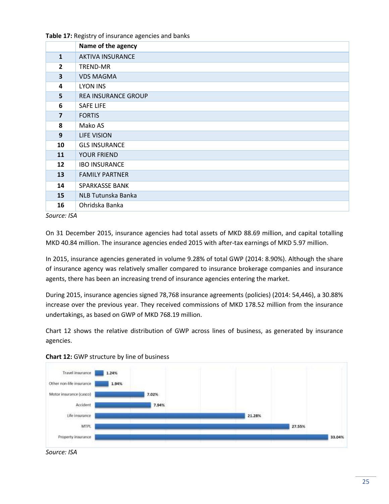|                         | Name of the agency         |
|-------------------------|----------------------------|
| $\mathbf{1}$            | <b>AKTIVA INSURANCE</b>    |
| $\overline{2}$          | TREND-MR                   |
| 3                       | <b>VDS MAGMA</b>           |
| $\overline{\mathbf{4}}$ | <b>LYON INS</b>            |
| 5                       | <b>REA INSURANCE GROUP</b> |
| 6                       | <b>SAFE LIFE</b>           |
| $\overline{7}$          | <b>FORTIS</b>              |
| 8                       | Mako AS                    |
| 9                       | LIFE VISION                |
| 10                      | <b>GLS INSURANCE</b>       |
| 11                      | <b>YOUR FRIEND</b>         |
| 12                      | <b>IBO INSURANCE</b>       |
| 13                      | <b>FAMILY PARTNER</b>      |
| 14                      | <b>SPARKASSE BANK</b>      |
| 15                      | NLB Tutunska Banka         |
| 16                      | Ohridska Banka             |

*Source: ISA*

On 31 December 2015, insurance agencies had total assets of MKD 88.69 million, and capital totalling MKD 40.84 million. The insurance agencies ended 2015 with after-tax earnings of MKD 5.97 million.

In 2015, insurance agencies generated in volume 9.28% of total GWP (2014: 8.90%). Although the share of insurance agency was relatively smaller compared to insurance brokerage companies and insurance agents, there has been an increasing trend of insurance agencies entering the market.

During 2015, insurance agencies signed 78,768 insurance agreements (policies) (2014: 54,446), a 30.88% increase over the previous year. They received commissions of MKD 178.52 million from the insurance undertakings, as based on GWP of MKD 768.19 million.

Chart 12 shows the relative distribution of GWP across lines of business, as generated by insurance agencies.





*Source: ISA*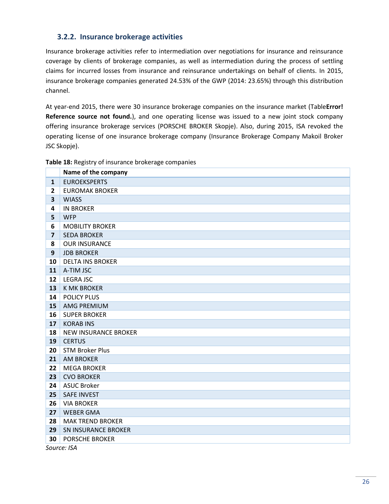## <span id="page-25-0"></span>**3.2.2. Insurance brokerage activities**

Insurance brokerage activities refer to intermediation over negotiations for insurance and reinsurance coverage by clients of brokerage companies, as well as intermediation during the process of settling claims for incurred losses from insurance and reinsurance undertakings on behalf of clients. In 2015, insurance brokerage companies generated 24.53% of the GWP (2014: 23.65%) through this distribution channel.

At year-end 2015, there were 30 insurance brokerage companies on the insurance market (Table**Error! Reference source not found.**), and one operating license was issued to a new joint stock company offering insurance brokerage services (PORSCHE BROKER Skopje). Also, during 2015, ISA revoked the operating license of one insurance brokerage company (Insurance Brokerage Company Makoil Broker JSC Skopje).

|                         | Name of the company         |
|-------------------------|-----------------------------|
| $\mathbf{1}$            | <b>EUROEKSPERTS</b>         |
| $\mathbf{2}$            | <b>EUROMAK BROKER</b>       |
| 3                       | <b>WIASS</b>                |
| 4                       | <b>IN BROKER</b>            |
| 5                       | <b>WFP</b>                  |
| 6                       | <b>MOBILITY BROKER</b>      |
| $\overline{\mathbf{z}}$ | <b>SEDA BROKER</b>          |
| 8                       | <b>OUR INSURANCE</b>        |
| 9                       | <b>JDB BROKER</b>           |
| 10                      | <b>DELTA INS BROKER</b>     |
| 11                      | A-TIM JSC                   |
| 12                      | <b>LEGRA JSC</b>            |
| 13                      | <b>K MK BROKER</b>          |
| 14                      | <b>POLICY PLUS</b>          |
| 15                      | <b>AMG PREMIUM</b>          |
| 16                      | <b>SUPER BROKER</b>         |
| 17                      | <b>KORAB INS</b>            |
| 18                      | <b>NEW INSURANCE BROKER</b> |
| 19                      | <b>CERTUS</b>               |
| 20                      | <b>STM Broker Plus</b>      |
| 21                      | <b>AM BROKER</b>            |
| 22                      | <b>MEGA BROKER</b>          |
| 23                      | <b>CVO BROKER</b>           |
| 24                      | <b>ASUC Broker</b>          |
| 25                      | <b>SAFE INVEST</b>          |
| 26                      | <b>VIA BROKER</b>           |
| 27                      | <b>WEBER GMA</b>            |
| 28                      | <b>MAK TREND BROKER</b>     |
| 29                      | <b>SN INSURANCE BROKER</b>  |
| 30                      | <b>PORSCHE BROKER</b>       |

#### **Table 18:** Registry of insurance brokerage companies

*Source: ISA*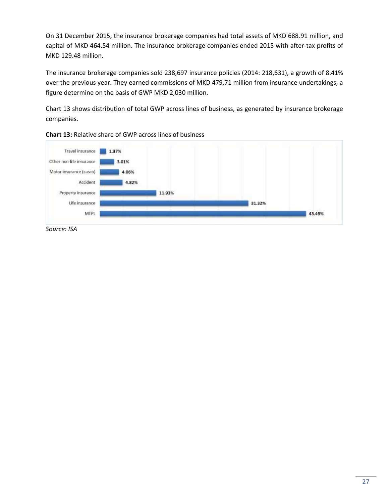On 31 December 2015, the insurance brokerage companies had total assets of MKD 688.91 million, and capital of MKD 464.54 million. The insurance brokerage companies ended 2015 with after-tax profits of MKD 129.48 million.

The insurance brokerage companies sold 238,697 insurance policies (2014: 218,631), a growth of 8.41% over the previous year. They earned commissions of MKD 479.71 million from insurance undertakings, a figure determine on the basis of GWP MKD 2,030 million.

Chart 13 shows distribution of total GWP across lines of business, as generated by insurance brokerage companies.



**Chart 13:** Relative share of GWP across lines of business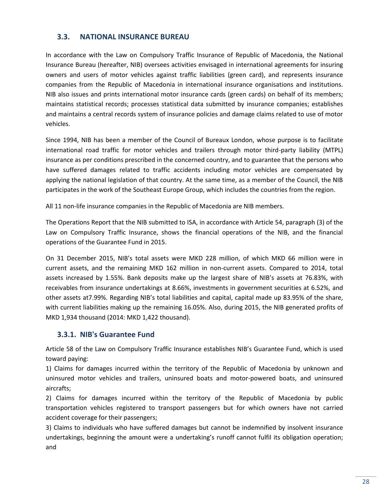## <span id="page-27-0"></span>**3.3. NATIONAL INSURANCE BUREAU**

In accordance with the Law on Compulsory Traffic Insurance of Republic of Macedonia, the National Insurance Bureau (hereafter, NIB) oversees activities envisaged in international agreements for insuring owners and users of motor vehicles against traffic liabilities (green card), and represents insurance companies from the Republic of Macedonia in international insurance organisations and institutions. NIB also issues and prints international motor insurance cards (green cards) on behalf of its members; maintains statistical records; processes statistical data submitted by insurance companies; establishes and maintains a central records system of insurance policies and damage claims related to use of motor vehicles.

Since 1994, NIB has been a member of the Council of Bureaux London, whose purpose is to facilitate international road traffic for motor vehicles and trailers through motor third-party liability (MTPL) insurance as per conditions prescribed in the concerned country, and to guarantee that the persons who have suffered damages related to traffic accidents including motor vehicles are compensated by applying the national legislation of that country. At the same time, as a member of the Council, the NIB participates in the work of the Southeast Europe Group, which includes the countries from the region.

All 11 non-life insurance companies in the Republic of Macedonia are NIB members.

The Operations Report that the NIB submitted to ISA, in accordance with Article 54, paragraph (3) of the Law on Compulsory Traffic Insurance, shows the financial operations of the NIB, and the financial operations of the Guarantee Fund in 2015.

On 31 December 2015, NIB's total assets were MKD 228 million, of which MKD 66 million were in current assets, and the remaining MKD 162 million in non-current assets. Compared to 2014, total assets increased by 1.55%. Bank deposits make up the largest share of NIB's assets at 76.83%, with receivables from insurance undertakings at 8.66%, investments in government securities at 6.52%, and other assets at7.99%. Regarding NIB's total liabilities and capital, capital made up 83.95% of the share, with current liabilities making up the remaining 16.05%. Also, during 2015, the NIB generated profits of MKD 1,934 thousand (2014: MKD 1,422 thousand).

## <span id="page-27-1"></span>**3.3.1. NIB's Guarantee Fund**

Article 58 of the Law on Compulsory Traffic Insurance establishes NIB's Guarantee Fund, which is used toward paying:

1) Claims for damages incurred within the territory of the Republic of Macedonia by unknown and uninsured motor vehicles and trailers, uninsured boats and motor-powered boats, and uninsured aircrafts;

2) Claims for damages incurred within the territory of the Republic of Macedonia by public transportation vehicles registered to transport passengers but for which owners have not carried accident coverage for their passengers;

3) Claims to individuals who have suffered damages but cannot be indemnified by insolvent insurance undertakings, beginning the amount were a undertaking's runoff cannot fulfil its obligation operation; and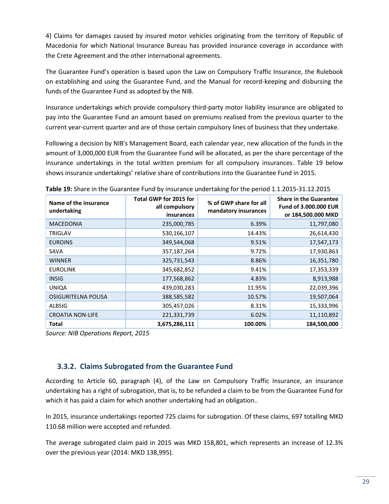4) Claims for damages caused by insured motor vehicles originating from the territory of Republic of Macedonia for which National Insurance Bureau has provided insurance coverage in accordance with the Crete Agreement and the other international agreements.

The Guarantee Fund's operation is based upon the Law on Compulsory Traffic Insurance, the Rulebook on establishing and using the Guarantee Fund, and the Manual for record-keeping and disbursing the funds of the Guarantee Fund as adopted by the NIB.

Insurance undertakings which provide compulsory third-party motor liability insurance are obligated to pay into the Guarantee Fund an amount based on premiums realised from the previous quarter to the current year-current quarter and are of those certain compulsory lines of business that they undertake.

Following a decision by NIB's Management Board, each calendar year, new allocation of the funds in the amount of 3,000,000 EUR from the Guarantee Fund will be allocated, as per the share percentage of the insurance undertakings in the total written premium for all compulsory insurances. Table 19 below shows insurance undertakings' relative share of contributions into the Guarantee Fund in 2015.

| Name of the insurance<br>undertaking | Total GWP for 2015 for<br>all compulsory<br>insurances | % of GWP share for all<br>mandatory insurances | <b>Share in the Guarantee</b><br><b>Fund of 3,000,000 EUR</b><br>or 184,500.000 MKD |
|--------------------------------------|--------------------------------------------------------|------------------------------------------------|-------------------------------------------------------------------------------------|
| <b>MACEDONIA</b>                     | 235,000,785                                            | 6.39%                                          | 11,797,080                                                                          |
| <b>TRIGLAV</b>                       | 530,166,107                                            | 14.43%                                         | 26,614,430                                                                          |
| <b>EUROINS</b>                       | 349,544,068                                            | 9.51%                                          | 17,547,173                                                                          |
| SAVA                                 | 357,187,264                                            | 9.72%                                          | 17,930,863                                                                          |
| <b>WINNER</b>                        | 325,731,543                                            | 8.86%                                          | 16,351,780                                                                          |
| <b>EUROLINK</b>                      | 345,682,852                                            | 9.41%                                          | 17,353,339                                                                          |
| <b>INSIG</b>                         | 177,568,862                                            | 4.83%                                          | 8,913,988                                                                           |
| <b>UNIQA</b>                         | 439,030,283                                            | 11.95%                                         | 22,039,396                                                                          |
| OSIGURITELNA POLISA                  | 388,585,582                                            | 10.57%                                         | 19,507,064                                                                          |
| <b>ALBSIG</b>                        | 305,457,026                                            | 8.31%                                          | 15,333,996                                                                          |
| <b>CROATIA NON-LIFE</b>              | 221,331,739                                            | 6.02%                                          | 11,110,892                                                                          |
| <b>Total</b>                         | 3,675,286,111                                          | 100.00%                                        | 184,500,000                                                                         |

| Table 19: Share in the Guarantee Fund by insurance undertaking for the period 1.1.2015-31.12.2015 |  |
|---------------------------------------------------------------------------------------------------|--|
|---------------------------------------------------------------------------------------------------|--|

*Source: NIB Operations Report, 2015*

## <span id="page-28-0"></span>**3.3.2. Claims Subrogated from the Guarantee Fund**

According to Article 60, paragraph (4), of the Law on Compulsory Traffic Insurance, an insurance undertaking has a right of subrogation, that is, to be refunded a claim to be from the Guarantee Fund for which it has paid a claim for which another undertaking had an obligation..

In 2015, insurance undertakings reported 725 claims for subrogation. Of these claims, 697 totalling MKD 110.68 million were accepted and refunded.

The average subrogated claim paid in 2015 was MKD 158,801, which represents an increase of 12.3% over the previous year (2014: MKD 138,995).